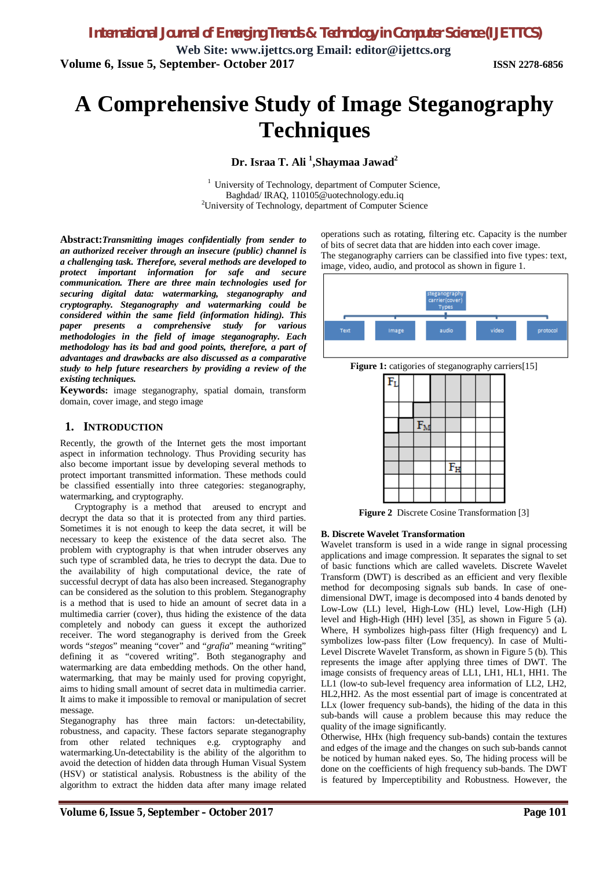**Volume 6, Issue 5, September- October 2017 ISSN 2278-6856**

# **A Comprehensive Study of Image Steganography Techniques**

**Dr. Israa T. Ali <sup>1</sup> ,Shaymaa Jawad<sup>2</sup>**

<sup>1</sup> University of Technology, department of Computer Science, Baghdad/ IRAQ, 110105@uotechnology.edu.iq <sup>2</sup>University of Technology, department of Computer Science

**Abstract:***Transmitting images confidentially from sender to an authorized receiver through an insecure (public) channel is a challenging task. Therefore, several methods are developed to protect important information for safe and secure communication. There are three main technologies used for securing digital data: watermarking, steganography and cryptography. Steganography and watermarking could be considered within the same field (information hiding). This paper presents a comprehensive study for various methodologies in the field of image steganography. Each methodology has its bad and good points, therefore, a part of advantages and drawbacks are also discussed as a comparative study to help future researchers by providing a review of the existing techniques.*

**Keywords:** image steganography, spatial domain, transform domain, cover image, and stego image

#### **1. INTRODUCTION**

Recently, the growth of the Internet gets the most important aspect in information technology. Thus Providing security has also become important issue by developing several methods to protect important transmitted information. These methods could be classified essentially into three categories: steganography, watermarking, and cryptography.

Cryptography is a method that areused to encrypt and decrypt the data so that it is protected from any third parties. Sometimes it is not enough to keep the data secret, it will be necessary to keep the existence of the data secret also. The problem with cryptography is that when intruder observes any such type of scrambled data, he tries to decrypt the data. Due to the availability of high computational device, the rate of successful decrypt of data has also been increased. Steganography can be considered as the solution to this problem. Steganography is a method that is used to hide an amount of secret data in a multimedia carrier (cover), thus hiding the existence of the data completely and nobody can guess it except the authorized receiver. The word steganography is derived from the Greek words "*stegos*" meaning "cover" and "*grafia*" meaning "writing" defining it as "covered writing". Both steganography and watermarking are data embedding methods. On the other hand, watermarking, that may be mainly used for proving copyright, aims to hiding small amount of secret data in multimedia carrier. It aims to make it impossible to removal or manipulation of secret message.

Steganography has three main factors: un-detectability, robustness, and capacity. These factors separate steganography from other related techniques e.g. cryptography and watermarking.Un-detectability is the ability of the algorithm to avoid the detection of hidden data through Human Visual System (HSV) or statistical analysis. Robustness is the ability of the algorithm to extract the hidden data after many image related

operations such as rotating, filtering etc. Capacity is the number of bits of secret data that are hidden into each cover image. The steganography carriers can be classified into five types: text, image, video, audio, and protocol as shown in figure 1.







**Figure 2** Discrete Cosine Transformation [3]

#### **B. Discrete Wavelet Transformation**

Wavelet transform is used in a wide range in signal processing applications and image compression. It separates the signal to set of basic functions which are called wavelets. Discrete Wavelet Transform (DWT) is described as an efficient and very flexible method for decomposing signals sub bands. In case of onedimensional DWT, image is decomposed into 4 bands denoted by Low-Low (LL) level, High-Low (HL) level, Low-High (LH) level and High-High (HH) level [35], as shown in Figure 5 (a). Where, H symbolizes high-pass filter (High frequency) and L symbolizes low-pass filter (Low frequency). In case of Multi-Level Discrete Wavelet Transform, as shown in Figure 5 (b). This represents the image after applying three times of DWT. The image consists of frequency areas of LL1, LH1, HL1, HH1. The LL1 (low-to sub-level frequency area information of LL2, LH2, HL2,HH2. As the most essential part of image is concentrated at LLx (lower frequency sub-bands), the hiding of the data in this sub-bands will cause a problem because this may reduce the quality of the image significantly.

Otherwise, HHx (high frequency sub-bands) contain the textures and edges of the image and the changes on such sub-bands cannot be noticed by human naked eyes. So, The hiding process will be done on the coefficients of high frequency sub-bands. The DWT is featured by Imperceptibility and Robustness. However, the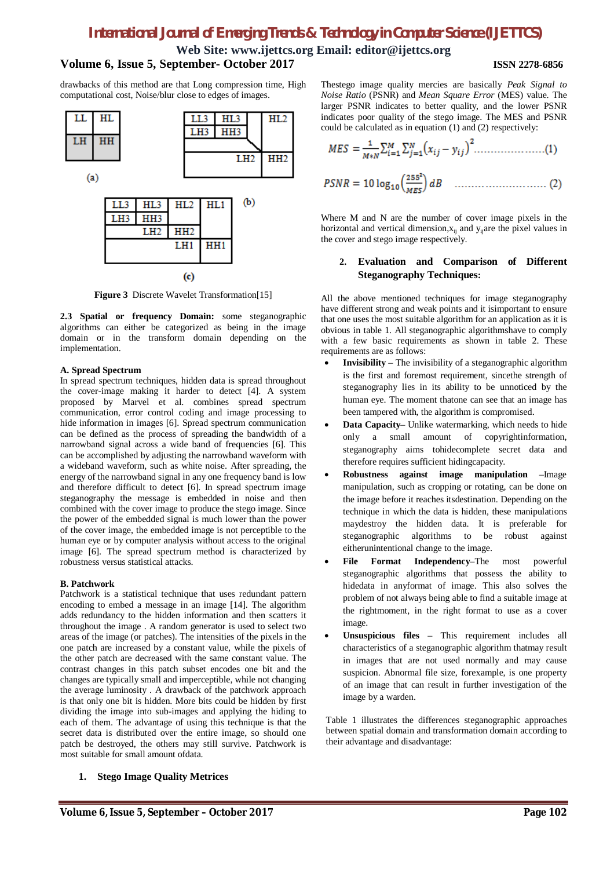### *International Journal of Emerging Trends & Technology in Computer Science (IJETTCS)*

**Web Site: www.ijettcs.org Email: editor@ijettcs.org**

#### **Volume 6, Issue 5, September- October 2017 ISSN 2278-6856**

drawbacks of this method are that Long compression time, High computational cost, Noise/blur close to edges of images.



**Figure 3** Discrete Wavelet Transformation[15]

**2.3 Spatial or frequency Domain:** some steganographic algorithms can either be categorized as being in the image domain or in the transform domain depending on the implementation.

#### **A. Spread Spectrum**

In spread spectrum techniques, hidden data is spread throughout the cover-image making it harder to detect [4]. A system proposed by Marvel et al. combines spread spectrum communication, error control coding and image processing to hide information in images [6]. Spread spectrum communication can be defined as the process of spreading the bandwidth of a narrowband signal across a wide band of frequencies [6]. This can be accomplished by adjusting the narrowband waveform with a wideband waveform, such as white noise. After spreading, the energy of the narrowband signal in any one frequency band is low and therefore difficult to detect [6]. In spread spectrum image steganography the message is embedded in noise and then combined with the cover image to produce the stego image. Since the power of the embedded signal is much lower than the power of the cover image, the embedded image is not perceptible to the human eye or by computer analysis without access to the original image [6]. The spread spectrum method is characterized by robustness versus statistical attacks.

#### **B. Patchwork**

Patchwork is a statistical technique that uses redundant pattern encoding to embed a message in an image [14]. The algorithm adds redundancy to the hidden information and then scatters it throughout the image . A random generator is used to select two areas of the image (or patches). The intensities of the pixels in the one patch are increased by a constant value, while the pixels of the other patch are decreased with the same constant value. The contrast changes in this patch subset encodes one bit and the changes are typically small and imperceptible, while not changing the average luminosity . A drawback of the patchwork approach is that only one bit is hidden. More bits could be hidden by first dividing the image into sub-images and applying the hiding to each of them. The advantage of using this technique is that the secret data is distributed over the entire image, so should one patch be destroyed, the others may still survive. Patchwork is most suitable for small amount ofdata.

Thestego image quality mercies are basically *Peak Signal to Noise Ratio* (PSNR) and *Mean Square Error* (MES) value. The larger PSNR indicates to better quality, and the lower PSNR indicates poor quality of the stego image. The MES and PSNR could be calculated as in equation (1) and (2) respectively:

$$
MES = \frac{1}{M*N} \sum_{i=1}^{M} \sum_{j=1}^{N} (x_{ij} - y_{ij})^2 \dots \dots \dots \dots \dots \dots (1)
$$

$$
PSNR = 10 \log_{10} \left( \frac{255^2}{MES} \right) dB \quad \dots \dots \dots \dots \dots \dots \dots \dots \dots \tag{2}
$$

Where M and N are the number of cover image pixels in the horizontal and vertical dimension, $x_{ii}$  and  $y_{ii}$ are the pixel values in the cover and stego image respectively.

#### **2. Evaluation and Comparison of Different Steganography Techniques:**

All the above mentioned techniques for image steganography have different strong and weak points and it isimportant to ensure that one uses the most suitable algorithm for an application as it is obvious in table 1. All steganographic algorithmshave to comply with a few basic requirements as shown in table 2. These requirements are as follows:

- **Invisibility**  The invisibility of a steganographic algorithm is the first and foremost requirement, sincethe strength of steganography lies in its ability to be unnoticed by the human eye. The moment thatone can see that an image has been tampered with, the algorithm is compromised.
- **Data Capacity–** Unlike watermarking, which needs to hide only a small amount of copyrightinformation, steganography aims tohidecomplete secret data and therefore requires sufficient hidingcapacity.
- **Robustness against image manipulation** –Image manipulation, such as cropping or rotating, can be done on the image before it reaches itsdestination. Depending on the technique in which the data is hidden, these manipulations maydestroy the hidden data. It is preferable for steganographic algorithms to be robust against eitherunintentional change to the image.
- **File Format Independency**–The most powerful steganographic algorithms that possess the ability to hidedata in anyformat of image. This also solves the problem of not always being able to find a suitable image at the rightmoment, in the right format to use as a cover image.
- **Unsuspicious files** This requirement includes all characteristics of a steganographic algorithm thatmay result in images that are not used normally and may cause suspicion. Abnormal file size, forexample, is one property of an image that can result in further investigation of the image by a warden.

Table 1 illustrates the differences steganographic approaches between spatial domain and transformation domain according to their advantage and disadvantage:

#### **1. Stego Image Quality Metrices**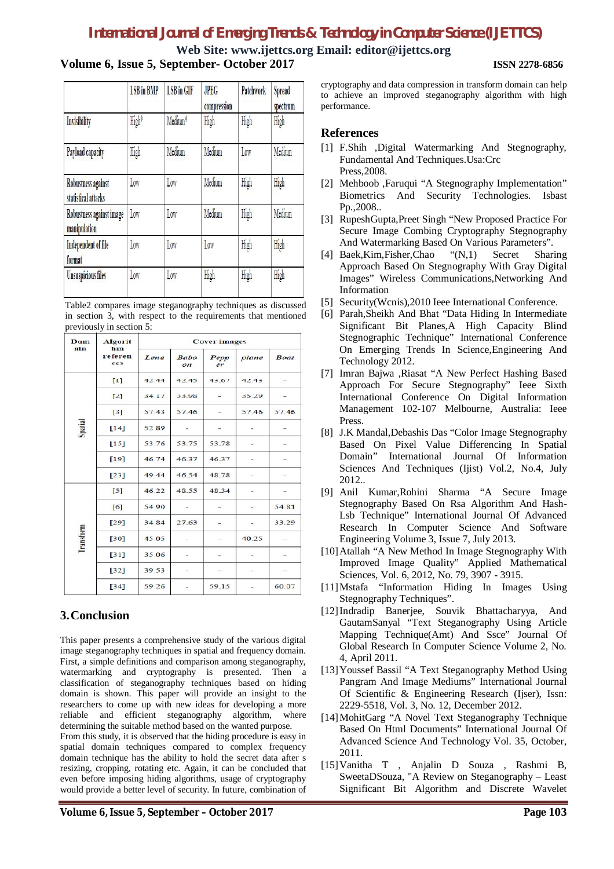## *International Journal of Emerging Trends & Technology in Computer Science (IJETTCS)*

#### **Web Site: www.ijettcs.org Email: editor@ijettcs.org Volume 6, Issue 5, September- October 2017 ISSN 2278-6856**

| <b>LSB</b> in <b>BMP</b> | <b>LSB</b> in GIF | <b>JPEG</b><br>compression | <b>Patchwork</b> | Spread<br>spectrum |
|--------------------------|-------------------|----------------------------|------------------|--------------------|
| High*                    | Medium*           | High                       | High             | High               |
| High                     | Medium            | Medium                     | Low              | Medium             |
| Low                      | Low               | Medium                     | High             | High               |
| Low                      | Low               | Medium                     | High             | Medium             |
| Low                      | Low               | Low                        | High             | High               |
| Low                      | Low               | High                       | High             | High               |
|                          |                   |                            |                  |                    |

Table2 compares image steganography techniques as discussed in section 3, with respect to the requirements that mentioned previously in section 5:

| Dom<br>ain | <b>Algorit</b><br>hm<br>referen<br>ces | <b>Cover images</b> |                         |            |       |             |  |
|------------|----------------------------------------|---------------------|-------------------------|------------|-------|-------------|--|
|            |                                        | Lena                | <b>Babo</b><br>$_{ori}$ | Pepp<br>er | plane | <b>Boat</b> |  |
| Spatial    | $[1]$                                  | 42.44               | 42.45                   | 43.67      | 42.43 |             |  |
|            | $[2]$                                  | 34.17               | 33.98                   |            | 35.29 |             |  |
|            | $[3]$                                  | 57.43               | 57.46                   |            | 57.46 | 57.46       |  |
|            | $\lfloor 14 \rfloor$                   | 52.89               |                         |            |       |             |  |
|            | $\lfloor 15 \rfloor$                   | 53.76               | 53.75                   | 53.78      |       |             |  |
|            | $[19]$                                 | 46.74               | 46.37                   | 46.37      |       |             |  |
|            | $[23]$                                 | 49.44               | 46.54                   | 48.78      |       |             |  |
| Transform  | $[5]$                                  | 46.22               | 48.55                   | 48.34      |       |             |  |
|            | [6]                                    | 54.90               |                         |            |       | 54.81       |  |
|            | $[29]$                                 | 34.84               | 27.63                   |            |       | 33.29       |  |
|            | $[30]$                                 | 45.05               |                         |            | 40.25 |             |  |
|            | [31]                                   | 35.06               |                         |            |       |             |  |
|            | $[32]$                                 | 39.53               |                         |            |       |             |  |
|            | $[34]$                                 | 59.26               |                         | 59.15      |       | 60.07       |  |

### **3.Conclusion**

This paper presents a comprehensive study of the various digital image steganography techniques in spatial and frequency domain. First, a simple definitions and comparison among steganography, watermarking and cryptography is presented. Then a classification of steganography techniques based on hiding domain is shown. This paper will provide an insight to the researchers to come up with new ideas for developing a more reliable and efficient steganography algorithm, where determining the suitable method based on the wanted purpose.

From this study, it is observed that the hiding procedure is easy in spatial domain techniques compared to complex frequency domain technique has the ability to hold the secret data after s resizing, cropping, rotating etc. Again, it can be concluded that even before imposing hiding algorithms, usage of cryptography would provide a better level of security. In future, combination of

cryptography and data compression in transform domain can help to achieve an improved steganography algorithm with high performance.

### **References**

- [1] F.Shih ,Digital Watermarking And Stegnography, Fundamental And Techniques.Usa:Crc Press,2008.
- [2] Mehboob ,Faruqui "A Stegnography Implementation" Biometrics And Security Technologies. Isbast Pp.,2008..
- [3] RupeshGupta,Preet Singh "New Proposed Practice For Secure Image Combing Cryptography Stegnography And Watermarking Based On Various Parameters".
- [4] Baek,Kim,Fisher,Chao "(N,1) Secret Sharing Approach Based On Stegnography With Gray Digital Images" Wireless Communications,Networking And Information
- [5] Security(Wcnis),2010 Ieee International Conference.
- [6] Parah,Sheikh And Bhat "Data Hiding In Intermediate Significant Bit Planes,A High Capacity Blind Stegnographic Technique" International Conference On Emerging Trends In Science,Engineering And Technology 2012.
- [7] Imran Bajwa ,Riasat "A New Perfect Hashing Based Approach For Secure Stegnography" Ieee Sixth International Conference On Digital Information Management 102-107 Melbourne, Australia: Ieee Press.
- [8] J.K Mandal,Debashis Das "Color Image Stegnography Based On Pixel Value Differencing In Spatial Domain" International Journal Of Information Sciences And Techniques (Ijist) Vol.2, No.4, July 2012..
- [9] Anil Kumar,Rohini Sharma "A Secure Image Stegnography Based On Rsa Algorithm And Hash-Lsb Technique" International Journal Of Advanced Research In Computer Science And Software Engineering Volume 3, Issue 7, July 2013.
- [10]Atallah "A New Method In Image Stegnography With Improved Image Quality" Applied Mathematical Sciences, Vol. 6, 2012, No. 79, 3907 - 3915.
- [11]Mstafa "Information Hiding In Images Using Stegnography Techniques".
- [12]Indradip Banerjee, Souvik Bhattacharyya, And GautamSanyal "Text Steganography Using Article Mapping Technique(Amt) And Ssce" Journal Of Global Research In Computer Science Volume 2, No. 4, April 2011.
- [13]Youssef Bassil "A Text Steganography Method Using Pangram And Image Mediums" International Journal Of Scientific & Engineering Research (Ijser), Issn: 2229-5518, Vol. 3, No. 12, December 2012.
- [14]MohitGarg "A Novel Text Steganography Technique Based On Html Documents" International Journal Of Advanced Science And Technology Vol. 35, October, 2011.
- [15]Vanitha T , Anjalin D Souza , Rashmi B, SweetaDSouza, "A Review on Steganography – Least Significant Bit Algorithm and Discrete Wavelet